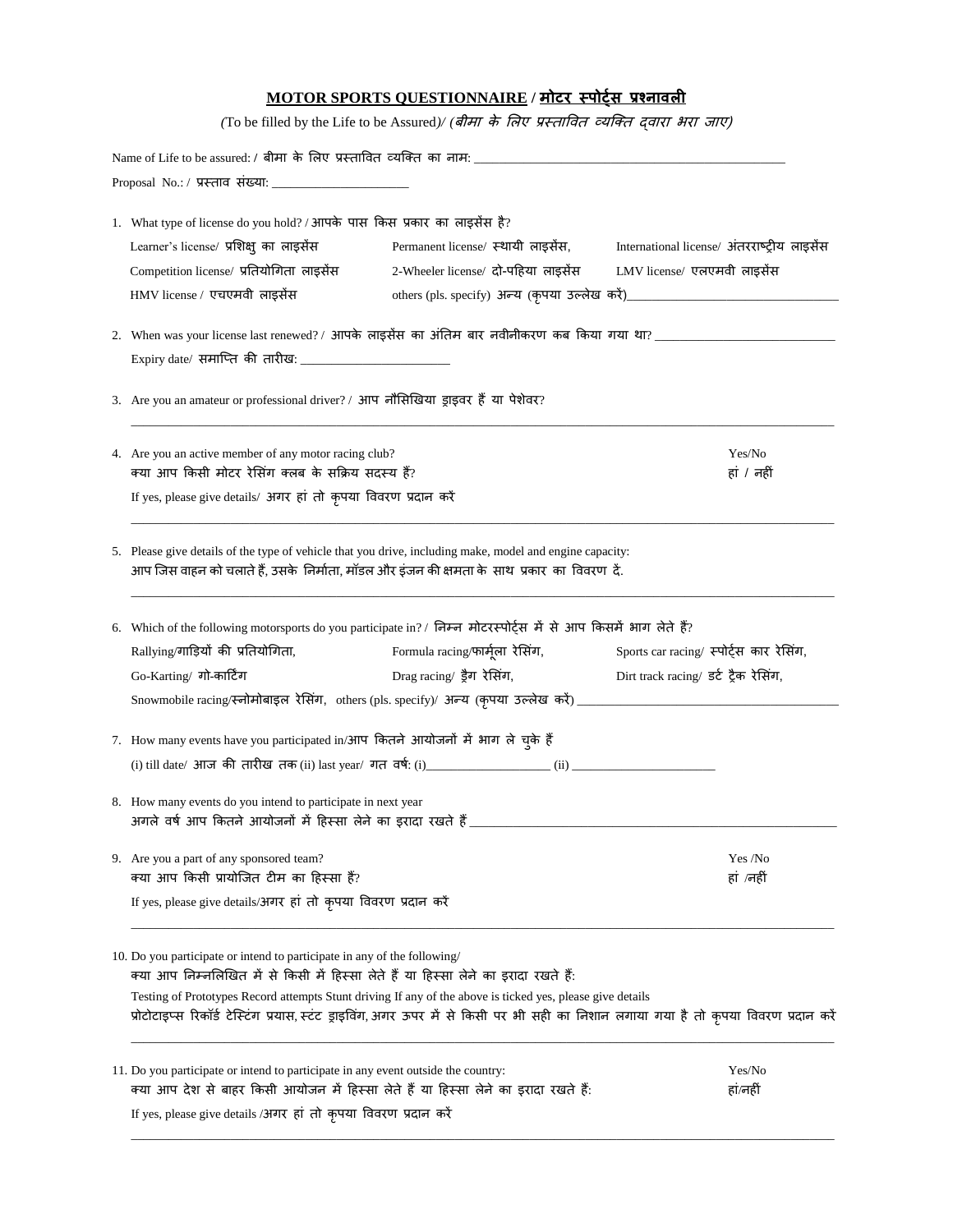| Name of Life to be assured: / बीमा  के  लिए  प्रस्तावित  व्यक्ति  का  नाम: ___________________________________<br>1. What type of license do you hold? / आपके पास किस प्रकार का लाइसेंस है?<br>Learner's license/ प्रशिक्षु का लाइसेंस<br>Permanent license/ स्थायी लाइसेंस,<br>Competition license/ प्रतियोगिता लाइसेंस<br>2-Wheeler license/ दो-पहिया लाइसेंस<br>LMV license/ एलएमवी लाइसेंस<br>HMV license / एचएमवी लाइसेंस<br>2.   When was your license last renewed? /  आपके लाइसेंस  का अंतिम  बार  नवीनीकरण  कब  किया  गया  था? _________________________________<br>3. Are you an amateur or professional driver? / आप नौसिखिया ड्राइवर हैं या पेशेवर?<br>4. Are you an active member of any motor racing club?<br>Yes/No<br>क्या आप किसी मोटर रेसिंग क्लब के सक्रिय सदस्य हैं?<br>हां / नहीं<br>If yes, please give details/ अगर हां तो कृपया विवरण प्रदान करें<br>5. Please give details of the type of vehicle that you drive, including make, model and engine capacity:<br>आप जिस वाहन को चलाते हैं, उसके  निर्माता, मॉडल और इंजन की क्षमता के  साथ  प्रकार  का  विवरण  दें.<br>6. Which of the following motorsports do you participate in? / निम्न मोटरस्पोर्ट्स में से आप किसमें भाग लेते हैं?<br>Formula racing/फार्मूला  रेसिंग,<br>Sports car racing/ स्पोर्ट्स कार रेसिंग,<br>Rallying/गाड़ियों की प्रतियोगिता,<br>Drag racing/ ड्रैग रेसिंग,<br>Dirt track racing/ डर्ट ट्रैक रेसिंग,<br>Go-Karting/ गो-कार्टिंग<br>Snowmobile racing/स्नोमोबाइल रेसिंग, others (pls. specify)/ अन्य (कृपया उल्लेख करें) _________________________<br>7.   How many events have you participated in/आप  कितने  आयोजनों  में  भाग  ले  चुके  हैं<br>(i) till date/ आज की तारीख तक (ii) last year/ गत वर्ष: (i)<br>(ii)<br>8. How many events do you intend to participate in next year<br>अगले वर्ष आप कितने आयोजनों में हिस्सा लेने का इरादा रखते हैं_<br>9. Are you a part of any sponsored team?<br>Yes /No<br>क्या आप किसी प्रायोजित टीम का हिस्सा हैं?<br>हां /नहीं<br>If yes, please give details/अगर हां तो कृपया विवरण प्रदान करें<br>10. Do you participate or intend to participate in any of the following/<br>क्या आप निम्नलिखित में से किसी में हिस्सा लेते हैं या हिस्सा लेने का इरादा रखते हैं:<br>Testing of Prototypes Record attempts Stunt driving If any of the above is ticked yes, please give details<br>प्रोटोटाइप्स रिकॉर्ड टेस्टिंग प्रयास, स्टंट ड्राइविंग, अगर ऊपर में से किसी पर भी सही का निशान लगाया गया है तो कृपया विवरण प्रदान करें<br>11. Do you participate or intend to participate in any event outside the country:<br>Yes/No<br>क्या आप देश से बाहर किसी आयोजन में हिस्सा लेते हैं या हिस्सा लेने का इरादा रखते हैं:<br>हां/नहीं |  |                                              |
|-------------------------------------------------------------------------------------------------------------------------------------------------------------------------------------------------------------------------------------------------------------------------------------------------------------------------------------------------------------------------------------------------------------------------------------------------------------------------------------------------------------------------------------------------------------------------------------------------------------------------------------------------------------------------------------------------------------------------------------------------------------------------------------------------------------------------------------------------------------------------------------------------------------------------------------------------------------------------------------------------------------------------------------------------------------------------------------------------------------------------------------------------------------------------------------------------------------------------------------------------------------------------------------------------------------------------------------------------------------------------------------------------------------------------------------------------------------------------------------------------------------------------------------------------------------------------------------------------------------------------------------------------------------------------------------------------------------------------------------------------------------------------------------------------------------------------------------------------------------------------------------------------------------------------------------------------------------------------------------------------------------------------------------------------------------------------------------------------------------------------------------------------------------------------------------------------------------------------------------------------------------------------------------------------------------------------------------------------------------------------------------------------------------------------------------------------------------------------------------------------------------------------------------------------------------------------------------------------------------------------------------------------------------------------------|--|----------------------------------------------|
|                                                                                                                                                                                                                                                                                                                                                                                                                                                                                                                                                                                                                                                                                                                                                                                                                                                                                                                                                                                                                                                                                                                                                                                                                                                                                                                                                                                                                                                                                                                                                                                                                                                                                                                                                                                                                                                                                                                                                                                                                                                                                                                                                                                                                                                                                                                                                                                                                                                                                                                                                                                                                                                                               |  |                                              |
|                                                                                                                                                                                                                                                                                                                                                                                                                                                                                                                                                                                                                                                                                                                                                                                                                                                                                                                                                                                                                                                                                                                                                                                                                                                                                                                                                                                                                                                                                                                                                                                                                                                                                                                                                                                                                                                                                                                                                                                                                                                                                                                                                                                                                                                                                                                                                                                                                                                                                                                                                                                                                                                                               |  |                                              |
|                                                                                                                                                                                                                                                                                                                                                                                                                                                                                                                                                                                                                                                                                                                                                                                                                                                                                                                                                                                                                                                                                                                                                                                                                                                                                                                                                                                                                                                                                                                                                                                                                                                                                                                                                                                                                                                                                                                                                                                                                                                                                                                                                                                                                                                                                                                                                                                                                                                                                                                                                                                                                                                                               |  |                                              |
|                                                                                                                                                                                                                                                                                                                                                                                                                                                                                                                                                                                                                                                                                                                                                                                                                                                                                                                                                                                                                                                                                                                                                                                                                                                                                                                                                                                                                                                                                                                                                                                                                                                                                                                                                                                                                                                                                                                                                                                                                                                                                                                                                                                                                                                                                                                                                                                                                                                                                                                                                                                                                                                                               |  | International license/ अंतरराष्ट्रीय लाइसेंस |
|                                                                                                                                                                                                                                                                                                                                                                                                                                                                                                                                                                                                                                                                                                                                                                                                                                                                                                                                                                                                                                                                                                                                                                                                                                                                                                                                                                                                                                                                                                                                                                                                                                                                                                                                                                                                                                                                                                                                                                                                                                                                                                                                                                                                                                                                                                                                                                                                                                                                                                                                                                                                                                                                               |  |                                              |
|                                                                                                                                                                                                                                                                                                                                                                                                                                                                                                                                                                                                                                                                                                                                                                                                                                                                                                                                                                                                                                                                                                                                                                                                                                                                                                                                                                                                                                                                                                                                                                                                                                                                                                                                                                                                                                                                                                                                                                                                                                                                                                                                                                                                                                                                                                                                                                                                                                                                                                                                                                                                                                                                               |  |                                              |
|                                                                                                                                                                                                                                                                                                                                                                                                                                                                                                                                                                                                                                                                                                                                                                                                                                                                                                                                                                                                                                                                                                                                                                                                                                                                                                                                                                                                                                                                                                                                                                                                                                                                                                                                                                                                                                                                                                                                                                                                                                                                                                                                                                                                                                                                                                                                                                                                                                                                                                                                                                                                                                                                               |  |                                              |
|                                                                                                                                                                                                                                                                                                                                                                                                                                                                                                                                                                                                                                                                                                                                                                                                                                                                                                                                                                                                                                                                                                                                                                                                                                                                                                                                                                                                                                                                                                                                                                                                                                                                                                                                                                                                                                                                                                                                                                                                                                                                                                                                                                                                                                                                                                                                                                                                                                                                                                                                                                                                                                                                               |  |                                              |
|                                                                                                                                                                                                                                                                                                                                                                                                                                                                                                                                                                                                                                                                                                                                                                                                                                                                                                                                                                                                                                                                                                                                                                                                                                                                                                                                                                                                                                                                                                                                                                                                                                                                                                                                                                                                                                                                                                                                                                                                                                                                                                                                                                                                                                                                                                                                                                                                                                                                                                                                                                                                                                                                               |  |                                              |
|                                                                                                                                                                                                                                                                                                                                                                                                                                                                                                                                                                                                                                                                                                                                                                                                                                                                                                                                                                                                                                                                                                                                                                                                                                                                                                                                                                                                                                                                                                                                                                                                                                                                                                                                                                                                                                                                                                                                                                                                                                                                                                                                                                                                                                                                                                                                                                                                                                                                                                                                                                                                                                                                               |  |                                              |
|                                                                                                                                                                                                                                                                                                                                                                                                                                                                                                                                                                                                                                                                                                                                                                                                                                                                                                                                                                                                                                                                                                                                                                                                                                                                                                                                                                                                                                                                                                                                                                                                                                                                                                                                                                                                                                                                                                                                                                                                                                                                                                                                                                                                                                                                                                                                                                                                                                                                                                                                                                                                                                                                               |  |                                              |
|                                                                                                                                                                                                                                                                                                                                                                                                                                                                                                                                                                                                                                                                                                                                                                                                                                                                                                                                                                                                                                                                                                                                                                                                                                                                                                                                                                                                                                                                                                                                                                                                                                                                                                                                                                                                                                                                                                                                                                                                                                                                                                                                                                                                                                                                                                                                                                                                                                                                                                                                                                                                                                                                               |  |                                              |
|                                                                                                                                                                                                                                                                                                                                                                                                                                                                                                                                                                                                                                                                                                                                                                                                                                                                                                                                                                                                                                                                                                                                                                                                                                                                                                                                                                                                                                                                                                                                                                                                                                                                                                                                                                                                                                                                                                                                                                                                                                                                                                                                                                                                                                                                                                                                                                                                                                                                                                                                                                                                                                                                               |  |                                              |
|                                                                                                                                                                                                                                                                                                                                                                                                                                                                                                                                                                                                                                                                                                                                                                                                                                                                                                                                                                                                                                                                                                                                                                                                                                                                                                                                                                                                                                                                                                                                                                                                                                                                                                                                                                                                                                                                                                                                                                                                                                                                                                                                                                                                                                                                                                                                                                                                                                                                                                                                                                                                                                                                               |  |                                              |
|                                                                                                                                                                                                                                                                                                                                                                                                                                                                                                                                                                                                                                                                                                                                                                                                                                                                                                                                                                                                                                                                                                                                                                                                                                                                                                                                                                                                                                                                                                                                                                                                                                                                                                                                                                                                                                                                                                                                                                                                                                                                                                                                                                                                                                                                                                                                                                                                                                                                                                                                                                                                                                                                               |  |                                              |
|                                                                                                                                                                                                                                                                                                                                                                                                                                                                                                                                                                                                                                                                                                                                                                                                                                                                                                                                                                                                                                                                                                                                                                                                                                                                                                                                                                                                                                                                                                                                                                                                                                                                                                                                                                                                                                                                                                                                                                                                                                                                                                                                                                                                                                                                                                                                                                                                                                                                                                                                                                                                                                                                               |  |                                              |
|                                                                                                                                                                                                                                                                                                                                                                                                                                                                                                                                                                                                                                                                                                                                                                                                                                                                                                                                                                                                                                                                                                                                                                                                                                                                                                                                                                                                                                                                                                                                                                                                                                                                                                                                                                                                                                                                                                                                                                                                                                                                                                                                                                                                                                                                                                                                                                                                                                                                                                                                                                                                                                                                               |  |                                              |
|                                                                                                                                                                                                                                                                                                                                                                                                                                                                                                                                                                                                                                                                                                                                                                                                                                                                                                                                                                                                                                                                                                                                                                                                                                                                                                                                                                                                                                                                                                                                                                                                                                                                                                                                                                                                                                                                                                                                                                                                                                                                                                                                                                                                                                                                                                                                                                                                                                                                                                                                                                                                                                                                               |  |                                              |
|                                                                                                                                                                                                                                                                                                                                                                                                                                                                                                                                                                                                                                                                                                                                                                                                                                                                                                                                                                                                                                                                                                                                                                                                                                                                                                                                                                                                                                                                                                                                                                                                                                                                                                                                                                                                                                                                                                                                                                                                                                                                                                                                                                                                                                                                                                                                                                                                                                                                                                                                                                                                                                                                               |  |                                              |
|                                                                                                                                                                                                                                                                                                                                                                                                                                                                                                                                                                                                                                                                                                                                                                                                                                                                                                                                                                                                                                                                                                                                                                                                                                                                                                                                                                                                                                                                                                                                                                                                                                                                                                                                                                                                                                                                                                                                                                                                                                                                                                                                                                                                                                                                                                                                                                                                                                                                                                                                                                                                                                                                               |  |                                              |
|                                                                                                                                                                                                                                                                                                                                                                                                                                                                                                                                                                                                                                                                                                                                                                                                                                                                                                                                                                                                                                                                                                                                                                                                                                                                                                                                                                                                                                                                                                                                                                                                                                                                                                                                                                                                                                                                                                                                                                                                                                                                                                                                                                                                                                                                                                                                                                                                                                                                                                                                                                                                                                                                               |  |                                              |
|                                                                                                                                                                                                                                                                                                                                                                                                                                                                                                                                                                                                                                                                                                                                                                                                                                                                                                                                                                                                                                                                                                                                                                                                                                                                                                                                                                                                                                                                                                                                                                                                                                                                                                                                                                                                                                                                                                                                                                                                                                                                                                                                                                                                                                                                                                                                                                                                                                                                                                                                                                                                                                                                               |  |                                              |
|                                                                                                                                                                                                                                                                                                                                                                                                                                                                                                                                                                                                                                                                                                                                                                                                                                                                                                                                                                                                                                                                                                                                                                                                                                                                                                                                                                                                                                                                                                                                                                                                                                                                                                                                                                                                                                                                                                                                                                                                                                                                                                                                                                                                                                                                                                                                                                                                                                                                                                                                                                                                                                                                               |  |                                              |
|                                                                                                                                                                                                                                                                                                                                                                                                                                                                                                                                                                                                                                                                                                                                                                                                                                                                                                                                                                                                                                                                                                                                                                                                                                                                                                                                                                                                                                                                                                                                                                                                                                                                                                                                                                                                                                                                                                                                                                                                                                                                                                                                                                                                                                                                                                                                                                                                                                                                                                                                                                                                                                                                               |  |                                              |
|                                                                                                                                                                                                                                                                                                                                                                                                                                                                                                                                                                                                                                                                                                                                                                                                                                                                                                                                                                                                                                                                                                                                                                                                                                                                                                                                                                                                                                                                                                                                                                                                                                                                                                                                                                                                                                                                                                                                                                                                                                                                                                                                                                                                                                                                                                                                                                                                                                                                                                                                                                                                                                                                               |  |                                              |
|                                                                                                                                                                                                                                                                                                                                                                                                                                                                                                                                                                                                                                                                                                                                                                                                                                                                                                                                                                                                                                                                                                                                                                                                                                                                                                                                                                                                                                                                                                                                                                                                                                                                                                                                                                                                                                                                                                                                                                                                                                                                                                                                                                                                                                                                                                                                                                                                                                                                                                                                                                                                                                                                               |  |                                              |
|                                                                                                                                                                                                                                                                                                                                                                                                                                                                                                                                                                                                                                                                                                                                                                                                                                                                                                                                                                                                                                                                                                                                                                                                                                                                                                                                                                                                                                                                                                                                                                                                                                                                                                                                                                                                                                                                                                                                                                                                                                                                                                                                                                                                                                                                                                                                                                                                                                                                                                                                                                                                                                                                               |  |                                              |
|                                                                                                                                                                                                                                                                                                                                                                                                                                                                                                                                                                                                                                                                                                                                                                                                                                                                                                                                                                                                                                                                                                                                                                                                                                                                                                                                                                                                                                                                                                                                                                                                                                                                                                                                                                                                                                                                                                                                                                                                                                                                                                                                                                                                                                                                                                                                                                                                                                                                                                                                                                                                                                                                               |  |                                              |
|                                                                                                                                                                                                                                                                                                                                                                                                                                                                                                                                                                                                                                                                                                                                                                                                                                                                                                                                                                                                                                                                                                                                                                                                                                                                                                                                                                                                                                                                                                                                                                                                                                                                                                                                                                                                                                                                                                                                                                                                                                                                                                                                                                                                                                                                                                                                                                                                                                                                                                                                                                                                                                                                               |  |                                              |
|                                                                                                                                                                                                                                                                                                                                                                                                                                                                                                                                                                                                                                                                                                                                                                                                                                                                                                                                                                                                                                                                                                                                                                                                                                                                                                                                                                                                                                                                                                                                                                                                                                                                                                                                                                                                                                                                                                                                                                                                                                                                                                                                                                                                                                                                                                                                                                                                                                                                                                                                                                                                                                                                               |  |                                              |
|                                                                                                                                                                                                                                                                                                                                                                                                                                                                                                                                                                                                                                                                                                                                                                                                                                                                                                                                                                                                                                                                                                                                                                                                                                                                                                                                                                                                                                                                                                                                                                                                                                                                                                                                                                                                                                                                                                                                                                                                                                                                                                                                                                                                                                                                                                                                                                                                                                                                                                                                                                                                                                                                               |  |                                              |
|                                                                                                                                                                                                                                                                                                                                                                                                                                                                                                                                                                                                                                                                                                                                                                                                                                                                                                                                                                                                                                                                                                                                                                                                                                                                                                                                                                                                                                                                                                                                                                                                                                                                                                                                                                                                                                                                                                                                                                                                                                                                                                                                                                                                                                                                                                                                                                                                                                                                                                                                                                                                                                                                               |  |                                              |

 $\_$  , and the set of the set of the set of the set of the set of the set of the set of the set of the set of the set of the set of the set of the set of the set of the set of the set of the set of the set of the set of th

If yes, please give details /अगर हां तो कृपया विवरण प्रदान करें